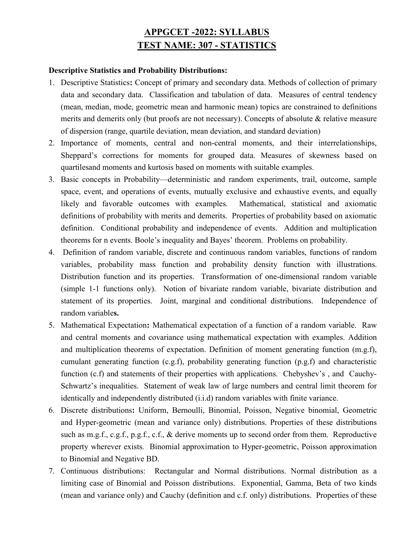## APPGCET -2022: SYLLABUS TEST NAME: 307 - STATISTICS

## Descriptive Statistics and Probability Distributions:

- 1. Descriptive Statistics: Concept of primary and secondary data. Methods of collection of primary data and secondary data. Classification and tabulation of data. Measures of central tendency (mean, median, mode, geometric mean and harmonic mean) topics are constrained to definitions merits and demerits only (but proofs are not necessary). Concepts of absolute & relative measure of dispersion (range, quartile deviation, mean deviation, and standard deviation)
- 2. Importance of moments, central and non-central moments, and their interrelationships, Sheppard's corrections for moments for grouped data. Measures of skewness based on quartilesand moments and kurtosis based on moments with suitable examples.
- 3. Basic concepts in Probability—deterministic and random experiments, trail, outcome, sample space, event, and operations of events, mutually exclusive and exhaustive events, and equally likely and favorable outcomes with examples. Mathematical, statistical and axiomatic definitions of probability with merits and demerits. Properties of probability based on axiomatic definition. Conditional probability and independence of events. Addition and multiplication theorems for n events. Boole's inequality and Bayes' theorem. Problems on probability.
- 4. Definition of random variable, discrete and continuous random variables, functions of random variables, probability mass function and probability density function with illustrations. Distribution function and its properties. Transformation of one-dimensional random variable (simple 1-1 functions only). Notion of bivariate random variable, bivariate distribution and statement of its properties. Joint, marginal and conditional distributions. Independence of random variables.
- 5. Mathematical Expectation: Mathematical expectation of a function of a random variable. Raw and central moments and covariance using mathematical expectation with examples. Addition and multiplication theorems of expectation. Definition of moment generating function (m.g.f), cumulant generating function (c.g.f), probability generating function  $(p.g.f)$  and characteristic function (c.f) and statements of their properties with applications. Chebyshev's, and Cauchy-Schwartz's inequalities. Statement of weak law of large numbers and central limit theorem for identically and independently distributed (i.i.d) random variables with finite variance.
- 6. Discrete distributions: Uniform, Bernoulli, Binomial, Poisson, Negative binomial, Geometric and Hyper-geometric (mean and variance only) distributions. Properties of these distributions such as m.g.f., c.g.f., p.g.f., c.f., & derive moments up to second order from them. Reproductive property wherever exists. Binomial approximation to Hyper-geometric, Poisson approximation to Binomial and Negative BD.
- 7. Continuous distributions: Rectangular and Normal distributions. Normal distribution as a limiting case of Binomial and Poisson distributions. Exponential, Gamma, Beta of two kinds (mean and variance only) and Cauchy (definition and c.f. only) distributions. Properties of these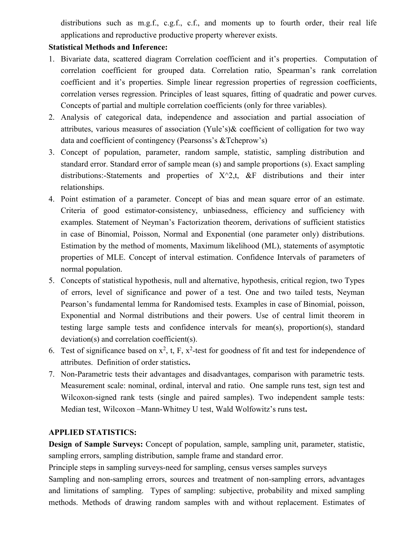distributions such as m.g.f., c.g.f., c.f., and moments up to fourth order, their real life applications and reproductive productive property wherever exists.

## Statistical Methods and Inference:

- 1. Bivariate data, scattered diagram Correlation coefficient and it's properties. Computation of correlation coefficient for grouped data. Correlation ratio, Spearman's rank correlation coefficient and it's properties. Simple linear regression properties of regression coefficients, correlation verses regression. Principles of least squares, fitting of quadratic and power curves. Concepts of partial and multiple correlation coefficients (only for three variables).
- 2. Analysis of categorical data, independence and association and partial association of attributes, various measures of association (Yule's)& coefficient of colligation for two way data and coefficient of contingency (Pearsonss's &Tcheprow's)
- 3. Concept of population, parameter, random sample, statistic, sampling distribution and standard error. Standard error of sample mean (s) and sample proportions (s). Exact sampling distributions:-Statements and properties of  $X^2$ ,t, &F distributions and their inter relationships.
- 4. Point estimation of a parameter. Concept of bias and mean square error of an estimate. Criteria of good estimator-consistency, unbiasedness, efficiency and sufficiency with examples. Statement of Neyman's Factorization theorem, derivations of sufficient statistics in case of Binomial, Poisson, Normal and Exponential (one parameter only) distributions. Estimation by the method of moments, Maximum likelihood (ML), statements of asymptotic properties of MLE. Concept of interval estimation. Confidence Intervals of parameters of normal population.
- 5. Concepts of statistical hypothesis, null and alternative, hypothesis, critical region, two Types of errors, level of significance and power of a test. One and two tailed tests, Neyman Pearson's fundamental lemma for Randomised tests. Examples in case of Binomial, poisson, Exponential and Normal distributions and their powers. Use of central limit theorem in testing large sample tests and confidence intervals for mean(s), proportion(s), standard deviation(s) and correlation coefficient(s).
- 6. Test of significance based on  $x^2$ , t, F,  $x^2$ -test for goodness of fit and test for independence of attributes. Definition of order statistics.
- 7. Non-Parametric tests their advantages and disadvantages, comparison with parametric tests. Measurement scale: nominal, ordinal, interval and ratio. One sample runs test, sign test and Wilcoxon-signed rank tests (single and paired samples). Two independent sample tests: Median test, Wilcoxon –Mann-Whitney U test, Wald Wolfowitz's runs test.

## APPLIED STATISTICS:

Design of Sample Surveys: Concept of population, sample, sampling unit, parameter, statistic, sampling errors, sampling distribution, sample frame and standard error.

Principle steps in sampling surveys-need for sampling, census verses samples surveys

Sampling and non-sampling errors, sources and treatment of non-sampling errors, advantages and limitations of sampling. Types of sampling: subjective, probability and mixed sampling methods. Methods of drawing random samples with and without replacement. Estimates of